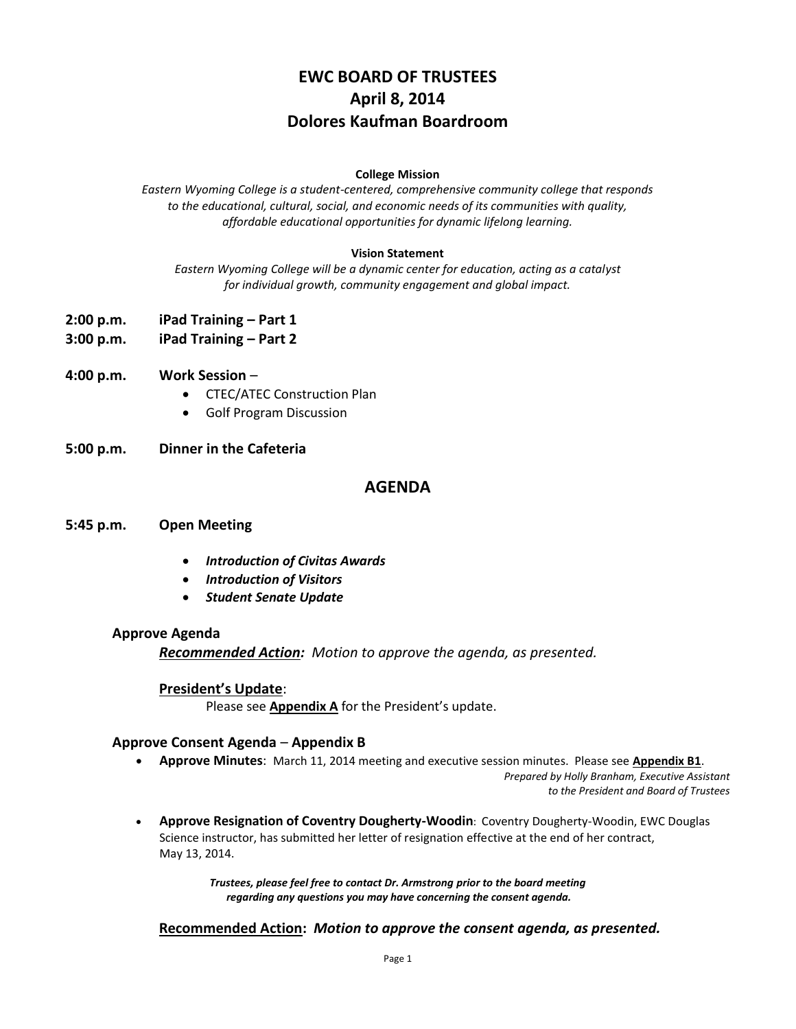# **EWC BOARD OF TRUSTEES April 8, 2014 Dolores Kaufman Boardroom**

#### **College Mission**

*Eastern Wyoming College is a student-centered, comprehensive community college that responds to the educational, cultural, social, and economic needs of its communities with quality, affordable educational opportunities for dynamic lifelong learning.*

#### **Vision Statement**

*Eastern Wyoming College will be a dynamic center for education, acting as a catalyst for individual growth, community engagement and global impact.*

- **2:00 p.m. iPad Training – Part 1**
- **3:00 p.m. iPad Training – Part 2**
- **4:00 p.m. Work Session**
	- CTEC/ATEC Construction Plan
	- Golf Program Discussion
- **5:00 p.m. Dinner in the Cafeteria**

## **AGENDA**

#### **5:45 p.m. Open Meeting**

- *Introduction of Civitas Awards*
- *Introduction of Visitors*
- *Student Senate Update*

#### **Approve Agenda**

*Recommended Action: Motion to approve the agenda, as presented.*

#### **President's Update**:

Please see **Appendix A** for the President's update.

#### **Approve Consent Agenda** – **Appendix B**

**Approve Minutes**: March 11, 2014 meeting and executive session minutes. Please see **Appendix B1**.

*Prepared by Holly Branham, Executive Assistant to the President and Board of Trustees*

 **Approve Resignation of Coventry Dougherty-Woodin**: Coventry Dougherty-Woodin, EWC Douglas Science instructor, has submitted her letter of resignation effective at the end of her contract, May 13, 2014.

> *Trustees, please feel free to contact Dr. Armstrong prior to the board meeting regarding any questions you may have concerning the consent agenda.*

**Recommended Action:** *Motion to approve the consent agenda, as presented.*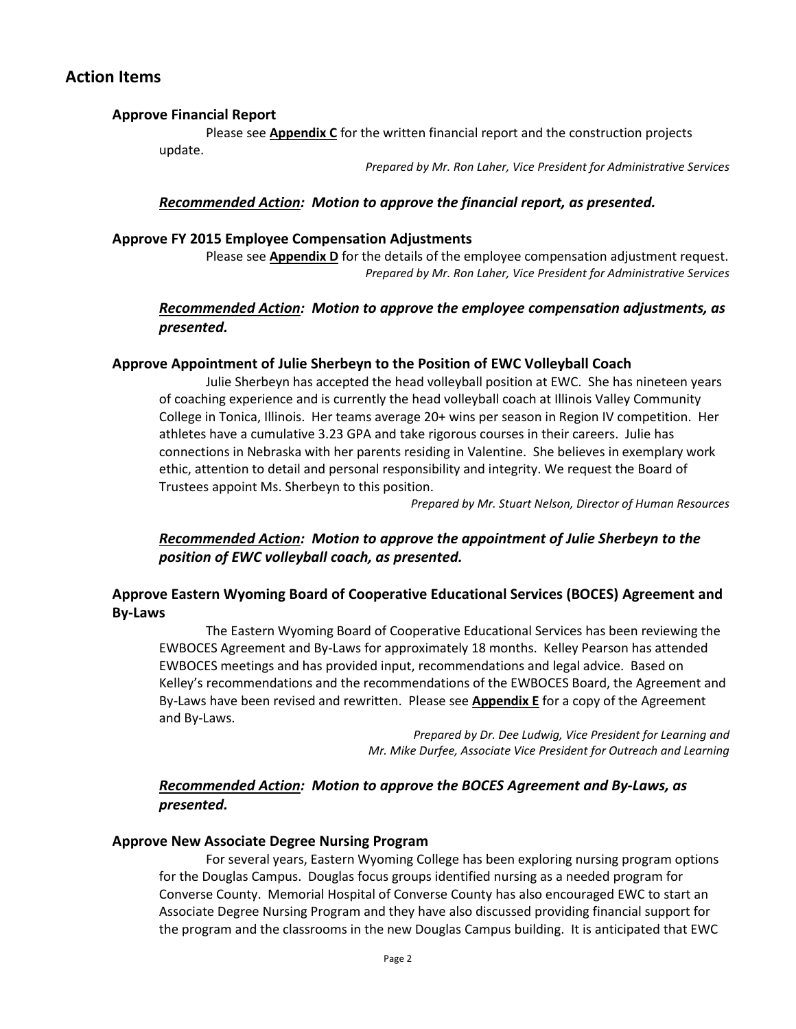## **Action Items**

#### **Approve Financial Report**

Please see **Appendix C** for the written financial report and the construction projects update.

*Prepared by Mr. Ron Laher, Vice President for Administrative Services*

### *Recommended Action: Motion to approve the financial report, as presented.*

#### **Approve FY 2015 Employee Compensation Adjustments**

Please see **Appendix D** for the details of the employee compensation adjustment request. *Prepared by Mr. Ron Laher, Vice President for Administrative Services*

## *Recommended Action: Motion to approve the employee compensation adjustments, as presented.*

#### **Approve Appointment of Julie Sherbeyn to the Position of EWC Volleyball Coach**

Julie Sherbeyn has accepted the head volleyball position at EWC. She has nineteen years of coaching experience and is currently the head volleyball coach at Illinois Valley Community College in Tonica, Illinois. Her teams average 20+ wins per season in Region IV competition. Her athletes have a cumulative 3.23 GPA and take rigorous courses in their careers. Julie has connections in Nebraska with her parents residing in Valentine. She believes in exemplary work ethic, attention to detail and personal responsibility and integrity. We request the Board of Trustees appoint Ms. Sherbeyn to this position.

*Prepared by Mr. Stuart Nelson, Director of Human Resources*

*Recommended Action: Motion to approve the appointment of Julie Sherbeyn to the position of EWC volleyball coach, as presented.*

## **Approve Eastern Wyoming Board of Cooperative Educational Services (BOCES) Agreement and By-Laws**

The Eastern Wyoming Board of Cooperative Educational Services has been reviewing the EWBOCES Agreement and By-Laws for approximately 18 months. Kelley Pearson has attended EWBOCES meetings and has provided input, recommendations and legal advice. Based on Kelley's recommendations and the recommendations of the EWBOCES Board, the Agreement and By-Laws have been revised and rewritten. Please see **Appendix E** for a copy of the Agreement and By-Laws.

> *Prepared by Dr. Dee Ludwig, Vice President for Learning and Mr. Mike Durfee, Associate Vice President for Outreach and Learning*

## *Recommended Action: Motion to approve the BOCES Agreement and By-Laws, as presented.*

#### **Approve New Associate Degree Nursing Program**

For several years, Eastern Wyoming College has been exploring nursing program options for the Douglas Campus. Douglas focus groups identified nursing as a needed program for Converse County. Memorial Hospital of Converse County has also encouraged EWC to start an Associate Degree Nursing Program and they have also discussed providing financial support for the program and the classrooms in the new Douglas Campus building. It is anticipated that EWC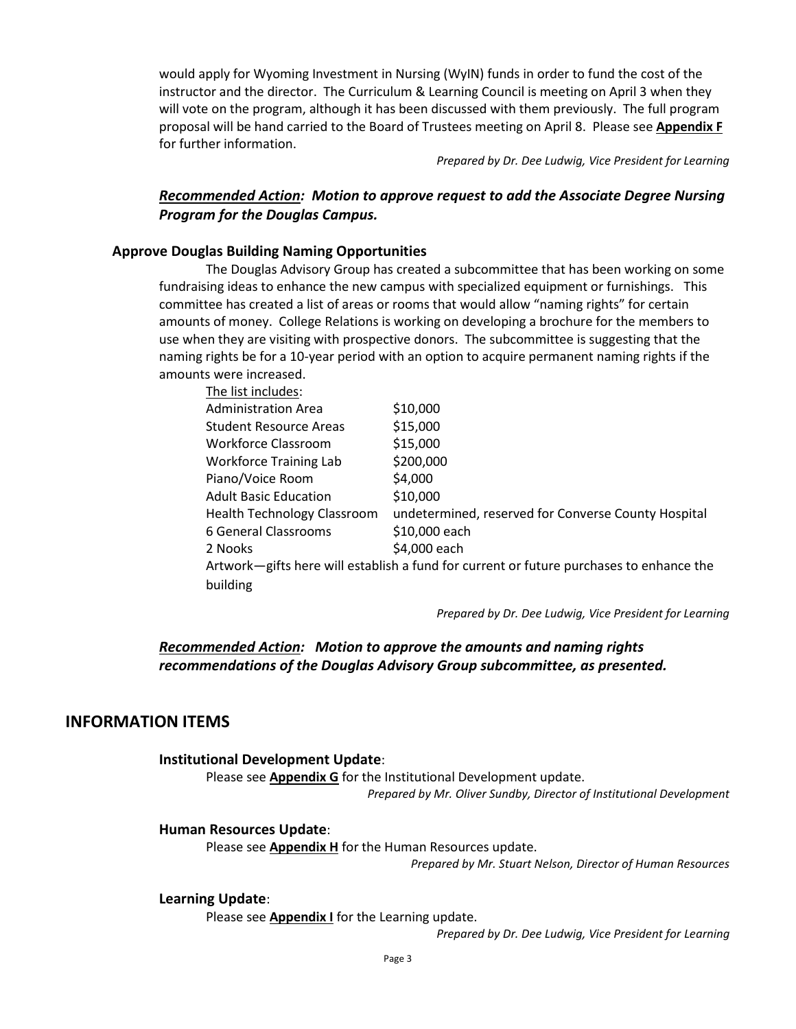would apply for Wyoming Investment in Nursing (WyIN) funds in order to fund the cost of the instructor and the director. The Curriculum & Learning Council is meeting on April 3 when they will vote on the program, although it has been discussed with them previously. The full program proposal will be hand carried to the Board of Trustees meeting on April 8. Please see **Appendix F** for further information.

*Prepared by Dr. Dee Ludwig, Vice President for Learning*

## *Recommended Action: Motion to approve request to add the Associate Degree Nursing Program for the Douglas Campus.*

#### **Approve Douglas Building Naming Opportunities**

The Douglas Advisory Group has created a subcommittee that has been working on some fundraising ideas to enhance the new campus with specialized equipment or furnishings. This committee has created a list of areas or rooms that would allow "naming rights" for certain amounts of money. College Relations is working on developing a brochure for the members to use when they are visiting with prospective donors. The subcommittee is suggesting that the naming rights be for a 10-year period with an option to acquire permanent naming rights if the amounts were increased.

| The list includes:                                                                      |                                                     |
|-----------------------------------------------------------------------------------------|-----------------------------------------------------|
| <b>Administration Area</b>                                                              | \$10,000                                            |
| Student Resource Areas                                                                  | \$15,000                                            |
| Workforce Classroom                                                                     | \$15,000                                            |
| <b>Workforce Training Lab</b>                                                           | \$200,000                                           |
| Piano/Voice Room                                                                        | \$4,000                                             |
| <b>Adult Basic Education</b>                                                            | \$10,000                                            |
| <b>Health Technology Classroom</b>                                                      | undetermined, reserved for Converse County Hospital |
| 6 General Classrooms                                                                    | \$10,000 each                                       |
| 2 Nooks                                                                                 | \$4,000 each                                        |
| Artwork-gifts here will establish a fund for current or future purchases to enhance the |                                                     |
| building                                                                                |                                                     |

*Prepared by Dr. Dee Ludwig, Vice President for Learning*

### *Recommended Action: Motion to approve the amounts and naming rights recommendations of the Douglas Advisory Group subcommittee, as presented.*

### **INFORMATION ITEMS**

#### **Institutional Development Update**:

Please see **Appendix G** for the Institutional Development update. *Prepared by Mr. Oliver Sundby, Director of Institutional Development*

#### **Human Resources Update**:

Please see **Appendix H** for the Human Resources update.

*Prepared by Mr. Stuart Nelson, Director of Human Resources*

#### **Learning Update**:

Please see **Appendix I** for the Learning update.

*Prepared by Dr. Dee Ludwig, Vice President for Learning*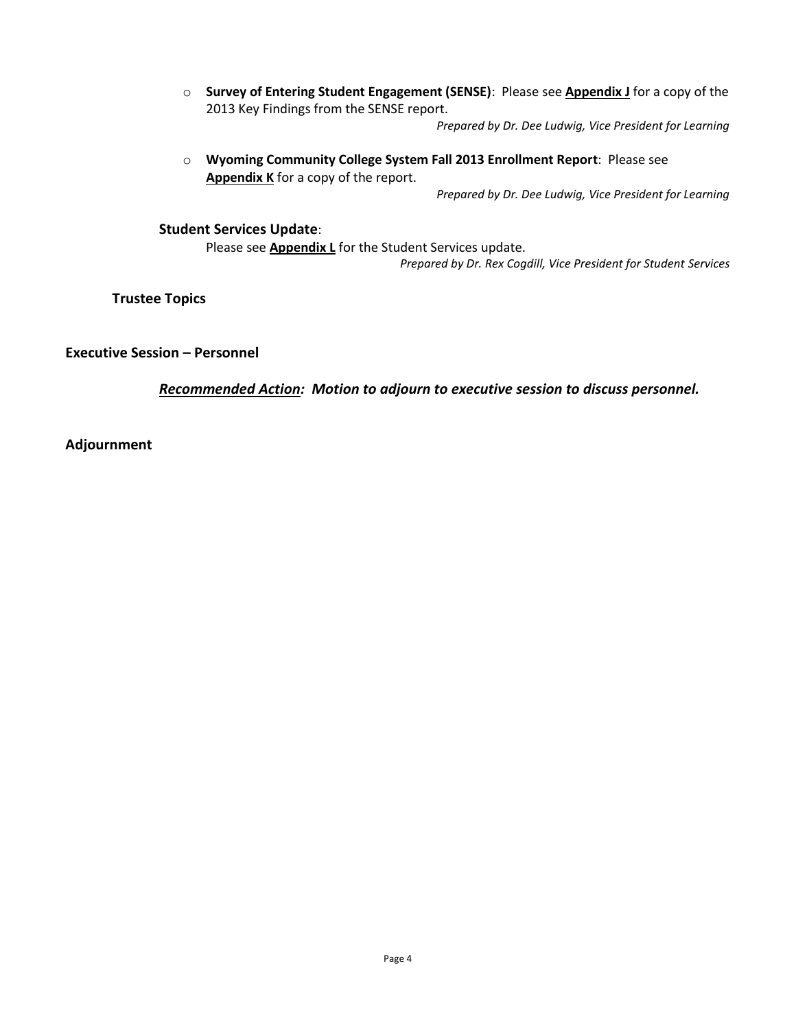o **Survey of Entering Student Engagement (SENSE)**: Please see **Appendix J** for a copy of the 2013 Key Findings from the SENSE report.

*Prepared by Dr. Dee Ludwig, Vice President for Learning*

o **Wyoming Community College System Fall 2013 Enrollment Report**: Please see **Appendix K** for a copy of the report.

*Prepared by Dr. Dee Ludwig, Vice President for Learning*

**Student Services Update**:

Please see **Appendix L** for the Student Services update.

*Prepared by Dr. Rex Cogdill, Vice President for Student Services*

**Trustee Topics**

**Executive Session – Personnel**

*Recommended Action: Motion to adjourn to executive session to discuss personnel.*

**Adjournment**